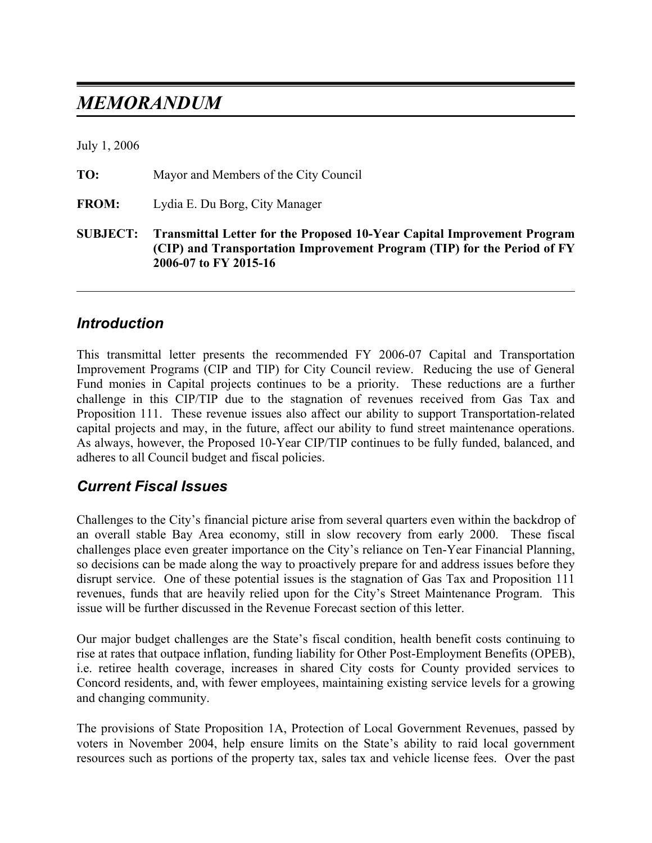# *MEMORANDUM*

July 1, 2006

| <b>SUBJECT:</b> | <b>Transmittal Letter for the Proposed 10-Year Capital Improvement Program</b><br>(CIP) and Transportation Improvement Program (TIP) for the Period of FY<br>2006-07 to FY 2015-16 |
|-----------------|------------------------------------------------------------------------------------------------------------------------------------------------------------------------------------|
| <b>FROM:</b>    | Lydia E. Du Borg, City Manager                                                                                                                                                     |
| TO:             | Mayor and Members of the City Council                                                                                                                                              |

#### *Introduction*

This transmittal letter presents the recommended FY 2006-07 Capital and Transportation Improvement Programs (CIP and TIP) for City Council review. Reducing the use of General Fund monies in Capital projects continues to be a priority. These reductions are a further challenge in this CIP/TIP due to the stagnation of revenues received from Gas Tax and Proposition 111. These revenue issues also affect our ability to support Transportation-related capital projects and may, in the future, affect our ability to fund street maintenance operations. As always, however, the Proposed 10-Year CIP/TIP continues to be fully funded, balanced, and adheres to all Council budget and fiscal policies.

### *Current Fiscal Issues*

Challenges to the City's financial picture arise from several quarters even within the backdrop of an overall stable Bay Area economy, still in slow recovery from early 2000. These fiscal challenges place even greater importance on the City's reliance on Ten-Year Financial Planning, so decisions can be made along the way to proactively prepare for and address issues before they disrupt service. One of these potential issues is the stagnation of Gas Tax and Proposition 111 revenues, funds that are heavily relied upon for the City's Street Maintenance Program. This issue will be further discussed in the Revenue Forecast section of this letter.

Our major budget challenges are the State's fiscal condition, health benefit costs continuing to rise at rates that outpace inflation, funding liability for Other Post-Employment Benefits (OPEB), i.e. retiree health coverage, increases in shared City costs for County provided services to Concord residents, and, with fewer employees, maintaining existing service levels for a growing and changing community.

The provisions of State Proposition 1A, Protection of Local Government Revenues, passed by voters in November 2004, help ensure limits on the State's ability to raid local government resources such as portions of the property tax, sales tax and vehicle license fees. Over the past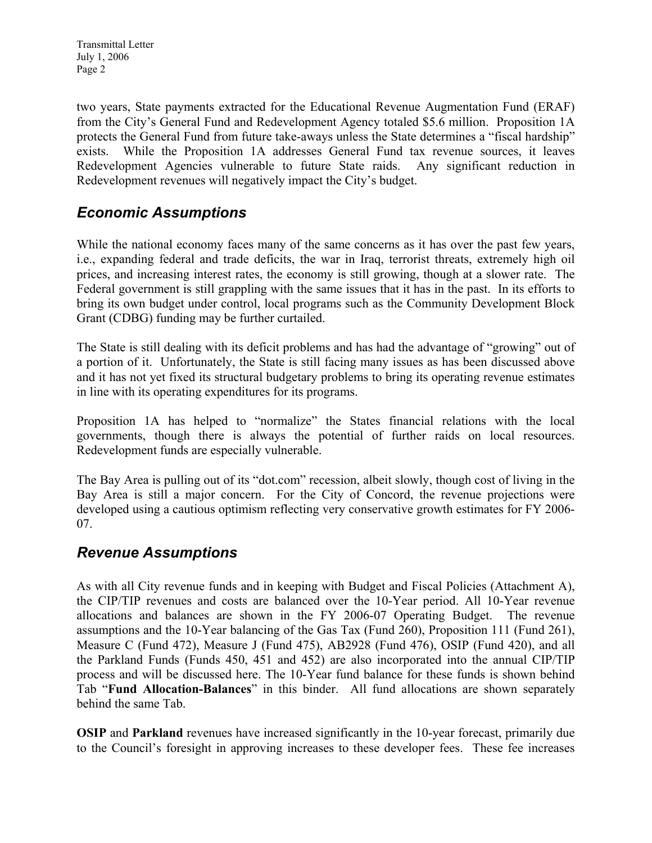two years, State payments extracted for the Educational Revenue Augmentation Fund (ERAF) from the City's General Fund and Redevelopment Agency totaled \$5.6 million. Proposition 1A protects the General Fund from future take-aways unless the State determines a "fiscal hardship" exists. While the Proposition 1A addresses General Fund tax revenue sources, it leaves Redevelopment Agencies vulnerable to future State raids. Any significant reduction in Redevelopment revenues will negatively impact the City's budget.

### *Economic Assumptions*

While the national economy faces many of the same concerns as it has over the past few years, i.e., expanding federal and trade deficits, the war in Iraq, terrorist threats, extremely high oil prices, and increasing interest rates, the economy is still growing, though at a slower rate. The Federal government is still grappling with the same issues that it has in the past. In its efforts to bring its own budget under control, local programs such as the Community Development Block Grant (CDBG) funding may be further curtailed.

The State is still dealing with its deficit problems and has had the advantage of "growing" out of a portion of it. Unfortunately, the State is still facing many issues as has been discussed above and it has not yet fixed its structural budgetary problems to bring its operating revenue estimates in line with its operating expenditures for its programs.

Proposition 1A has helped to "normalize" the States financial relations with the local governments, though there is always the potential of further raids on local resources. Redevelopment funds are especially vulnerable.

The Bay Area is pulling out of its "dot.com" recession, albeit slowly, though cost of living in the Bay Area is still a major concern. For the City of Concord, the revenue projections were developed using a cautious optimism reflecting very conservative growth estimates for FY 2006- 07.

### *Revenue Assumptions*

As with all City revenue funds and in keeping with Budget and Fiscal Policies (Attachment A), the CIP/TIP revenues and costs are balanced over the 10-Year period. All 10-Year revenue allocations and balances are shown in the FY 2006-07 Operating Budget. The revenue assumptions and the 10-Year balancing of the Gas Tax (Fund 260), Proposition 111 (Fund 261), Measure C (Fund 472), Measure J (Fund 475), AB2928 (Fund 476), OSIP (Fund 420), and all the Parkland Funds (Funds 450, 451 and 452) are also incorporated into the annual CIP/TIP process and will be discussed here. The 10-Year fund balance for these funds is shown behind Tab "**Fund Allocation-Balances**" in this binder. All fund allocations are shown separately behind the same Tab.

**OSIP** and **Parkland** revenues have increased significantly in the 10-year forecast, primarily due to the Council's foresight in approving increases to these developer fees. These fee increases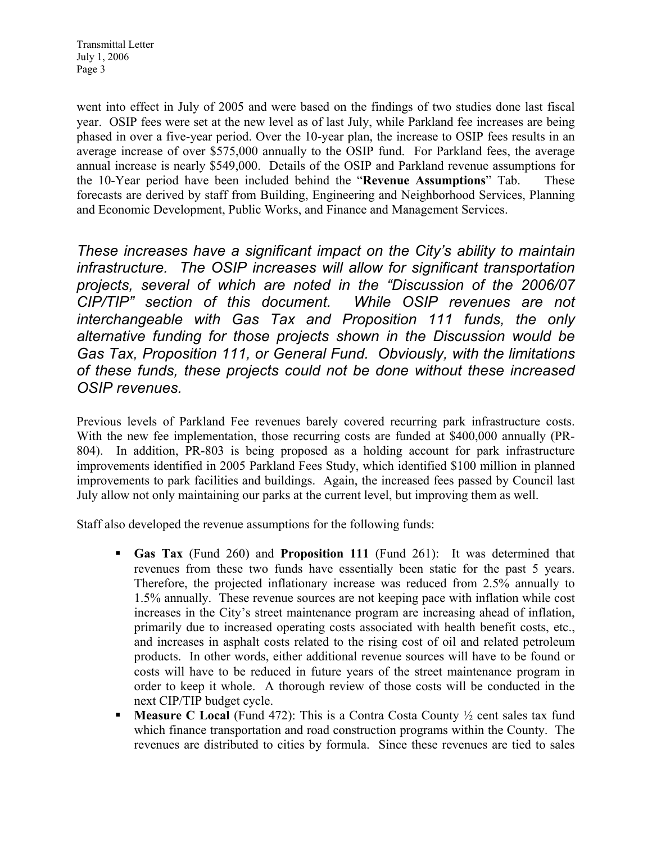went into effect in July of 2005 and were based on the findings of two studies done last fiscal year. OSIP fees were set at the new level as of last July, while Parkland fee increases are being phased in over a five-year period. Over the 10-year plan, the increase to OSIP fees results in an average increase of over \$575,000 annually to the OSIP fund. For Parkland fees, the average annual increase is nearly \$549,000. Details of the OSIP and Parkland revenue assumptions for the 10-Year period have been included behind the "**Revenue Assumptions**" Tab. These forecasts are derived by staff from Building, Engineering and Neighborhood Services, Planning and Economic Development, Public Works, and Finance and Management Services.

*These increases have a significant impact on the City's ability to maintain infrastructure. The OSIP increases will allow for significant transportation projects, several of which are noted in the "Discussion of the 2006/07 CIP/TIP" section of this document. While OSIP revenues are not interchangeable with Gas Tax and Proposition 111 funds, the only alternative funding for those projects shown in the Discussion would be Gas Tax, Proposition 111, or General Fund. Obviously, with the limitations of these funds, these projects could not be done without these increased OSIP revenues.* 

Previous levels of Parkland Fee revenues barely covered recurring park infrastructure costs. With the new fee implementation, those recurring costs are funded at \$400,000 annually (PR-804). In addition, PR-803 is being proposed as a holding account for park infrastructure improvements identified in 2005 Parkland Fees Study, which identified \$100 million in planned improvements to park facilities and buildings. Again, the increased fees passed by Council last July allow not only maintaining our parks at the current level, but improving them as well.

Staff also developed the revenue assumptions for the following funds:

- **Gas Tax** (Fund 260) and **Proposition 111** (Fund 261): It was determined that revenues from these two funds have essentially been static for the past 5 years. Therefore, the projected inflationary increase was reduced from 2.5% annually to 1.5% annually. These revenue sources are not keeping pace with inflation while cost increases in the City's street maintenance program are increasing ahead of inflation, primarily due to increased operating costs associated with health benefit costs, etc., and increases in asphalt costs related to the rising cost of oil and related petroleum products. In other words, either additional revenue sources will have to be found or costs will have to be reduced in future years of the street maintenance program in order to keep it whole. A thorough review of those costs will be conducted in the next CIP/TIP budget cycle.
- **Measure C Local** (Fund 472): This is a Contra Costa County <sup>1</sup>/<sub>2</sub> cent sales tax fund which finance transportation and road construction programs within the County. The revenues are distributed to cities by formula. Since these revenues are tied to sales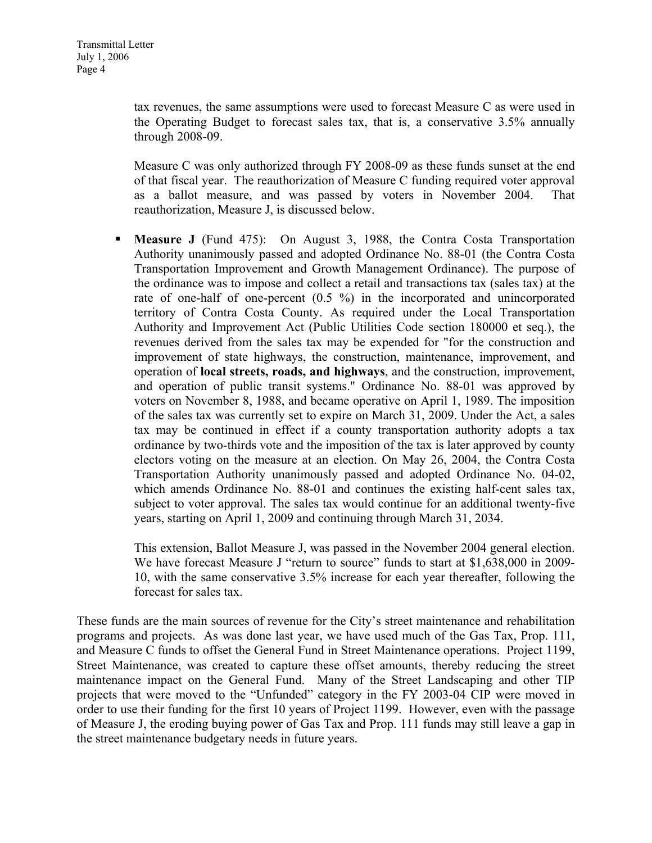tax revenues, the same assumptions were used to forecast Measure C as were used in the Operating Budget to forecast sales tax, that is, a conservative 3.5% annually through 2008-09.

Measure C was only authorized through FY 2008-09 as these funds sunset at the end of that fiscal year. The reauthorization of Measure C funding required voter approval as a ballot measure, and was passed by voters in November 2004. That reauthorization, Measure J, is discussed below.

 **Measure J** (Fund 475): On August 3, 1988, the Contra Costa Transportation Authority unanimously passed and adopted Ordinance No. 88-01 (the Contra Costa Transportation Improvement and Growth Management Ordinance). The purpose of the ordinance was to impose and collect a retail and transactions tax (sales tax) at the rate of one-half of one-percent (0.5 %) in the incorporated and unincorporated territory of Contra Costa County. As required under the Local Transportation Authority and Improvement Act (Public Utilities Code section 180000 et seq.), the revenues derived from the sales tax may be expended for "for the construction and improvement of state highways, the construction, maintenance, improvement, and operation of **local streets, roads, and highways**, and the construction, improvement, and operation of public transit systems." Ordinance No. 88-01 was approved by voters on November 8, 1988, and became operative on April 1, 1989. The imposition of the sales tax was currently set to expire on March 31, 2009. Under the Act, a sales tax may be continued in effect if a county transportation authority adopts a tax ordinance by two-thirds vote and the imposition of the tax is later approved by county electors voting on the measure at an election. On May 26, 2004, the Contra Costa Transportation Authority unanimously passed and adopted Ordinance No. 04-02, which amends Ordinance No. 88-01 and continues the existing half-cent sales tax, subject to voter approval. The sales tax would continue for an additional twenty-five years, starting on April 1, 2009 and continuing through March 31, 2034.

This extension, Ballot Measure J, was passed in the November 2004 general election. We have forecast Measure J "return to source" funds to start at \$1,638,000 in 2009-10, with the same conservative 3.5% increase for each year thereafter, following the forecast for sales tax.

These funds are the main sources of revenue for the City's street maintenance and rehabilitation programs and projects. As was done last year, we have used much of the Gas Tax, Prop. 111, and Measure C funds to offset the General Fund in Street Maintenance operations. Project 1199, Street Maintenance, was created to capture these offset amounts, thereby reducing the street maintenance impact on the General Fund. Many of the Street Landscaping and other TIP projects that were moved to the "Unfunded" category in the FY 2003-04 CIP were moved in order to use their funding for the first 10 years of Project 1199. However, even with the passage of Measure J, the eroding buying power of Gas Tax and Prop. 111 funds may still leave a gap in the street maintenance budgetary needs in future years.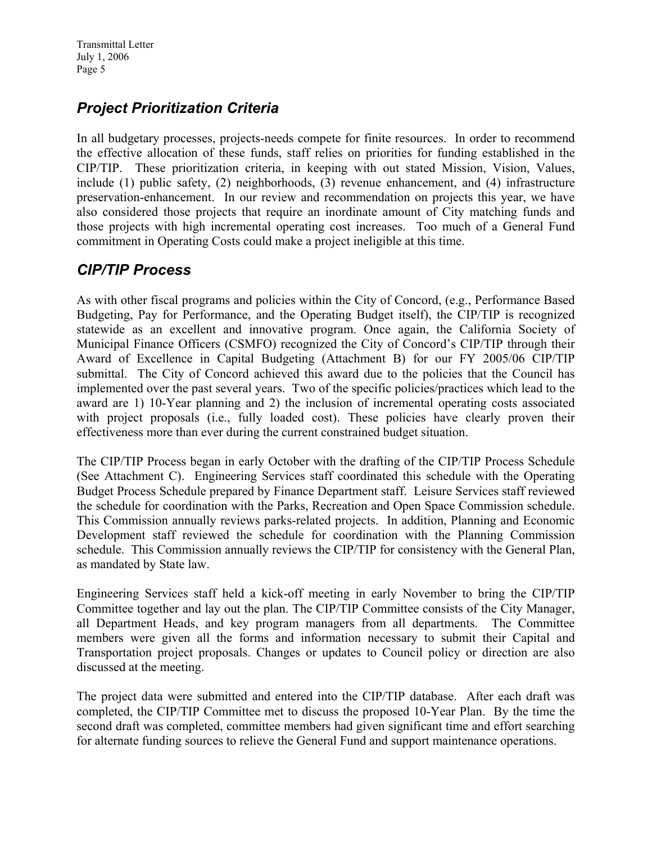## *Project Prioritization Criteria*

In all budgetary processes, projects-needs compete for finite resources. In order to recommend the effective allocation of these funds, staff relies on priorities for funding established in the CIP/TIP. These prioritization criteria, in keeping with out stated Mission, Vision, Values, include (1) public safety, (2) neighborhoods, (3) revenue enhancement, and (4) infrastructure preservation-enhancement. In our review and recommendation on projects this year, we have also considered those projects that require an inordinate amount of City matching funds and those projects with high incremental operating cost increases. Too much of a General Fund commitment in Operating Costs could make a project ineligible at this time.

### *CIP/TIP Process*

As with other fiscal programs and policies within the City of Concord, (e.g., Performance Based Budgeting, Pay for Performance, and the Operating Budget itself), the CIP/TIP is recognized statewide as an excellent and innovative program. Once again, the California Society of Municipal Finance Officers (CSMFO) recognized the City of Concord's CIP/TIP through their Award of Excellence in Capital Budgeting (Attachment B) for our FY 2005/06 CIP/TIP submittal. The City of Concord achieved this award due to the policies that the Council has implemented over the past several years. Two of the specific policies/practices which lead to the award are 1) 10-Year planning and 2) the inclusion of incremental operating costs associated with project proposals (i.e., fully loaded cost). These policies have clearly proven their effectiveness more than ever during the current constrained budget situation.

The CIP/TIP Process began in early October with the drafting of the CIP/TIP Process Schedule (See Attachment C). Engineering Services staff coordinated this schedule with the Operating Budget Process Schedule prepared by Finance Department staff. Leisure Services staff reviewed the schedule for coordination with the Parks, Recreation and Open Space Commission schedule. This Commission annually reviews parks-related projects. In addition, Planning and Economic Development staff reviewed the schedule for coordination with the Planning Commission schedule. This Commission annually reviews the CIP/TIP for consistency with the General Plan, as mandated by State law.

Engineering Services staff held a kick-off meeting in early November to bring the CIP/TIP Committee together and lay out the plan. The CIP/TIP Committee consists of the City Manager, all Department Heads, and key program managers from all departments. The Committee members were given all the forms and information necessary to submit their Capital and Transportation project proposals. Changes or updates to Council policy or direction are also discussed at the meeting.

The project data were submitted and entered into the CIP/TIP database. After each draft was completed, the CIP/TIP Committee met to discuss the proposed 10-Year Plan. By the time the second draft was completed, committee members had given significant time and effort searching for alternate funding sources to relieve the General Fund and support maintenance operations.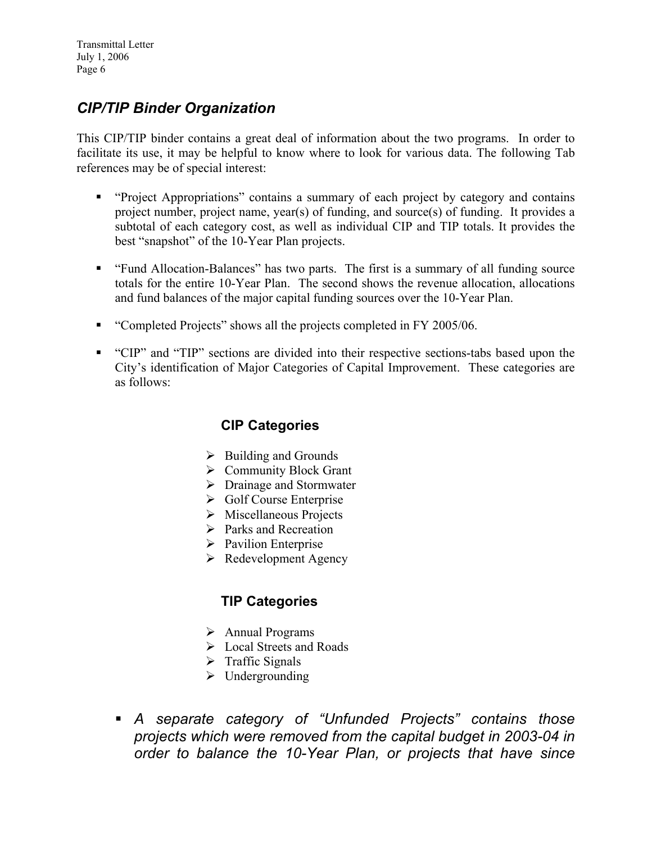## *CIP/TIP Binder Organization*

This CIP/TIP binder contains a great deal of information about the two programs. In order to facilitate its use, it may be helpful to know where to look for various data. The following Tab references may be of special interest:

- "Project Appropriations" contains a summary of each project by category and contains project number, project name, year(s) of funding, and source(s) of funding. It provides a subtotal of each category cost, as well as individual CIP and TIP totals. It provides the best "snapshot" of the 10-Year Plan projects.
- "Fund Allocation-Balances" has two parts. The first is a summary of all funding source totals for the entire 10-Year Plan. The second shows the revenue allocation, allocations and fund balances of the major capital funding sources over the 10-Year Plan.
- "Completed Projects" shows all the projects completed in FY 2005/06.
- "CIP" and "TIP" sections are divided into their respective sections-tabs based upon the City's identification of Major Categories of Capital Improvement. These categories are as follows:

#### **CIP Categories**

- $\triangleright$  Building and Grounds
- $\triangleright$  Community Block Grant
- $\triangleright$  Drainage and Stormwater
- $\triangleright$  Golf Course Enterprise
- $\triangleright$  Miscellaneous Projects
- $\triangleright$  Parks and Recreation
- $\triangleright$  Pavilion Enterprise
- $\triangleright$  Redevelopment Agency

#### **TIP Categories**

- $\triangleright$  Annual Programs
- $\triangleright$  Local Streets and Roads
- $\triangleright$  Traffic Signals
- $\triangleright$  Undergrounding
- *A separate category of "Unfunded Projects" contains those projects which were removed from the capital budget in 2003-04 in order to balance the 10-Year Plan, or projects that have since*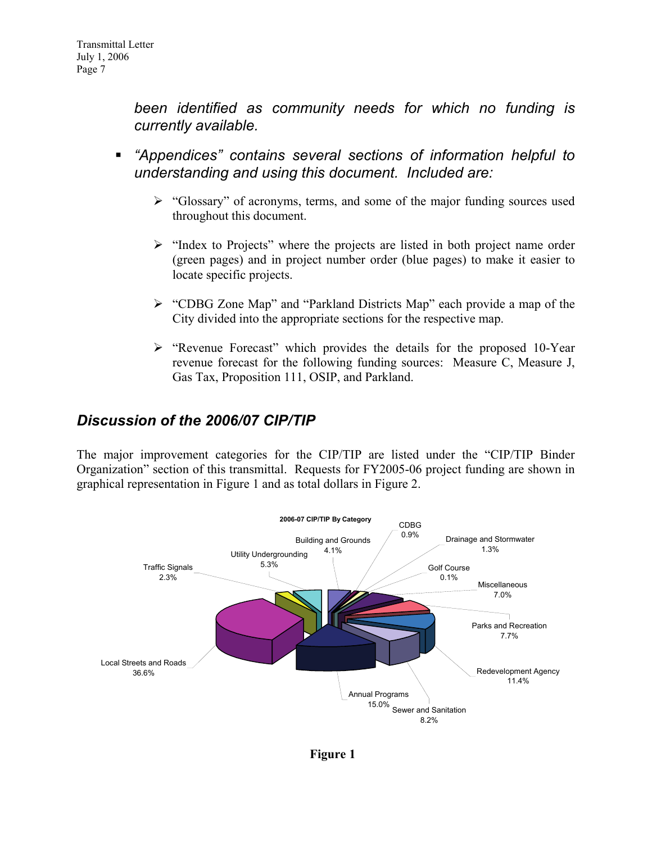*been identified as community needs for which no funding is currently available.* 

- *"Appendices" contains several sections of information helpful to understanding and using this document. Included are:*
	- ¾ "Glossary" of acronyms, terms, and some of the major funding sources used throughout this document.
	- $\triangleright$  "Index to Projects" where the projects are listed in both project name order (green pages) and in project number order (blue pages) to make it easier to locate specific projects.
	- ¾ "CDBG Zone Map" and "Parkland Districts Map" each provide a map of the City divided into the appropriate sections for the respective map.
	- ¾ "Revenue Forecast" which provides the details for the proposed 10-Year revenue forecast for the following funding sources: Measure C, Measure J, Gas Tax, Proposition 111, OSIP, and Parkland.

### *Discussion of the 2006/07 CIP/TIP*

The major improvement categories for the CIP/TIP are listed under the "CIP/TIP Binder Organization" section of this transmittal. Requests for FY2005-06 project funding are shown in graphical representation in Figure 1 and as total dollars in Figure 2.



**Figure 1**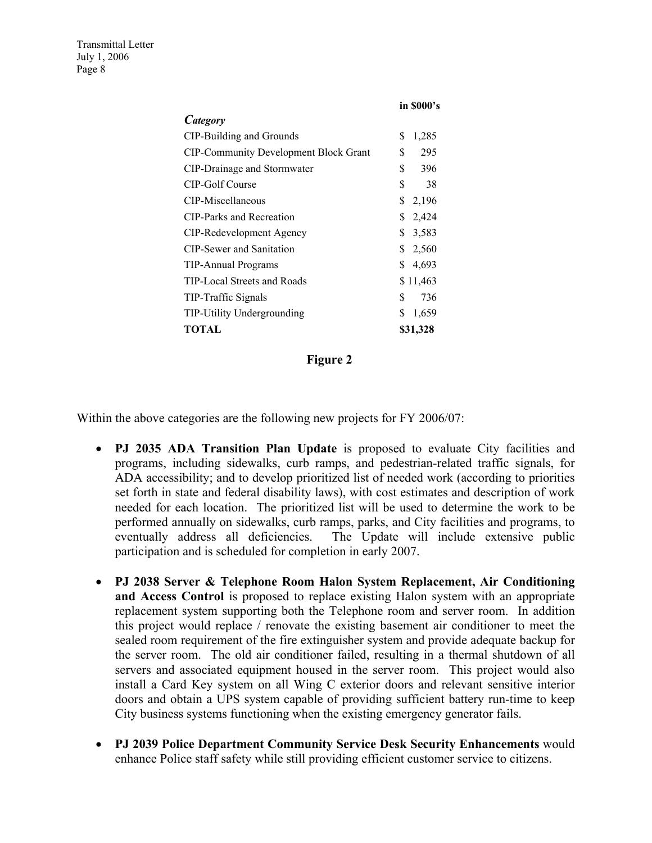|                                              | in \$000's  |
|----------------------------------------------|-------------|
| Category                                     |             |
| CIP-Building and Grounds                     | S<br>1,285  |
| <b>CIP-Community Development Block Grant</b> | \$<br>295   |
| CIP-Drainage and Stormwater                  | \$<br>396   |
| CIP-Golf Course                              | \$<br>38    |
| CIP-Miscellaneous                            | \$<br>2,196 |
| CIP-Parks and Recreation                     | \$<br>2,424 |
| CIP-Redevelopment Agency                     | \$<br>3,583 |
| <b>CIP-Sewer and Sanitation</b>              | \$<br>2,560 |
| <b>TIP-Annual Programs</b>                   | \$<br>4,693 |
| TIP-Local Streets and Roads                  | \$11,463    |
| TIP-Traffic Signals                          | \$<br>736   |
| <b>TIP-Utility Undergrounding</b>            | S<br>1,659  |
| TOTAL                                        | \$31,328    |

#### **Figure 2**

Within the above categories are the following new projects for FY 2006/07:

- **PJ 2035 ADA Transition Plan Update** is proposed to evaluate City facilities and programs, including sidewalks, curb ramps, and pedestrian-related traffic signals, for ADA accessibility; and to develop prioritized list of needed work (according to priorities set forth in state and federal disability laws), with cost estimates and description of work needed for each location. The prioritized list will be used to determine the work to be performed annually on sidewalks, curb ramps, parks, and City facilities and programs, to eventually address all deficiencies. The Update will include extensive public participation and is scheduled for completion in early 2007.
- **PJ 2038 Server & Telephone Room Halon System Replacement, Air Conditioning and Access Control** is proposed to replace existing Halon system with an appropriate replacement system supporting both the Telephone room and server room. In addition this project would replace / renovate the existing basement air conditioner to meet the sealed room requirement of the fire extinguisher system and provide adequate backup for the server room. The old air conditioner failed, resulting in a thermal shutdown of all servers and associated equipment housed in the server room. This project would also install a Card Key system on all Wing C exterior doors and relevant sensitive interior doors and obtain a UPS system capable of providing sufficient battery run-time to keep City business systems functioning when the existing emergency generator fails.
- **PJ 2039 Police Department Community Service Desk Security Enhancements** would enhance Police staff safety while still providing efficient customer service to citizens.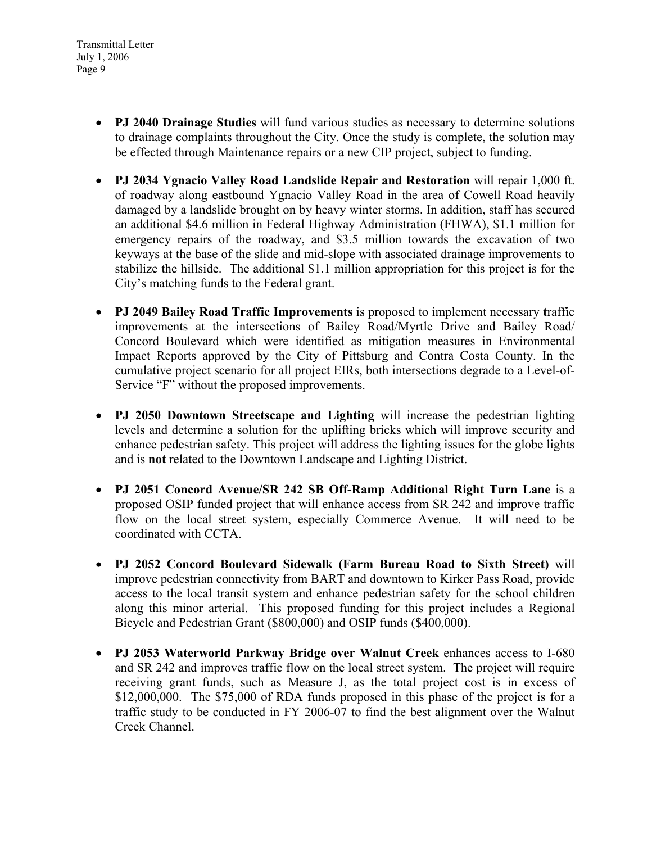- **PJ 2040 Drainage Studies** will fund various studies as necessary to determine solutions to drainage complaints throughout the City. Once the study is complete, the solution may be effected through Maintenance repairs or a new CIP project, subject to funding.
- **PJ 2034 Ygnacio Valley Road Landslide Repair and Restoration** will repair 1,000 ft. of roadway along eastbound Ygnacio Valley Road in the area of Cowell Road heavily damaged by a landslide brought on by heavy winter storms. In addition, staff has secured an additional \$4.6 million in Federal Highway Administration (FHWA), \$1.1 million for emergency repairs of the roadway, and \$3.5 million towards the excavation of two keyways at the base of the slide and mid-slope with associated drainage improvements to stabilize the hillside. The additional \$1.1 million appropriation for this project is for the City's matching funds to the Federal grant.
- **PJ 2049 Bailey Road Traffic Improvements** is proposed to implement necessary **t**raffic improvements at the intersections of Bailey Road/Myrtle Drive and Bailey Road/ Concord Boulevard which were identified as mitigation measures in Environmental Impact Reports approved by the City of Pittsburg and Contra Costa County. In the cumulative project scenario for all project EIRs, both intersections degrade to a Level-of-Service "F" without the proposed improvements.
- **PJ 2050 Downtown Streetscape and Lighting** will increase the pedestrian lighting levels and determine a solution for the uplifting bricks which will improve security and enhance pedestrian safety. This project will address the lighting issues for the globe lights and is **not** related to the Downtown Landscape and Lighting District.
- **PJ 2051 Concord Avenue/SR 242 SB Off-Ramp Additional Right Turn Lane** is a proposed OSIP funded project that will enhance access from SR 242 and improve traffic flow on the local street system, especially Commerce Avenue. It will need to be coordinated with CCTA.
- **PJ 2052 Concord Boulevard Sidewalk (Farm Bureau Road to Sixth Street)** will improve pedestrian connectivity from BART and downtown to Kirker Pass Road, provide access to the local transit system and enhance pedestrian safety for the school children along this minor arterial. This proposed funding for this project includes a Regional Bicycle and Pedestrian Grant (\$800,000) and OSIP funds (\$400,000).
- **PJ 2053 Waterworld Parkway Bridge over Walnut Creek** enhances access to I-680 and SR 242 and improves traffic flow on the local street system. The project will require receiving grant funds, such as Measure J, as the total project cost is in excess of \$12,000,000. The \$75,000 of RDA funds proposed in this phase of the project is for a traffic study to be conducted in FY 2006-07 to find the best alignment over the Walnut Creek Channel.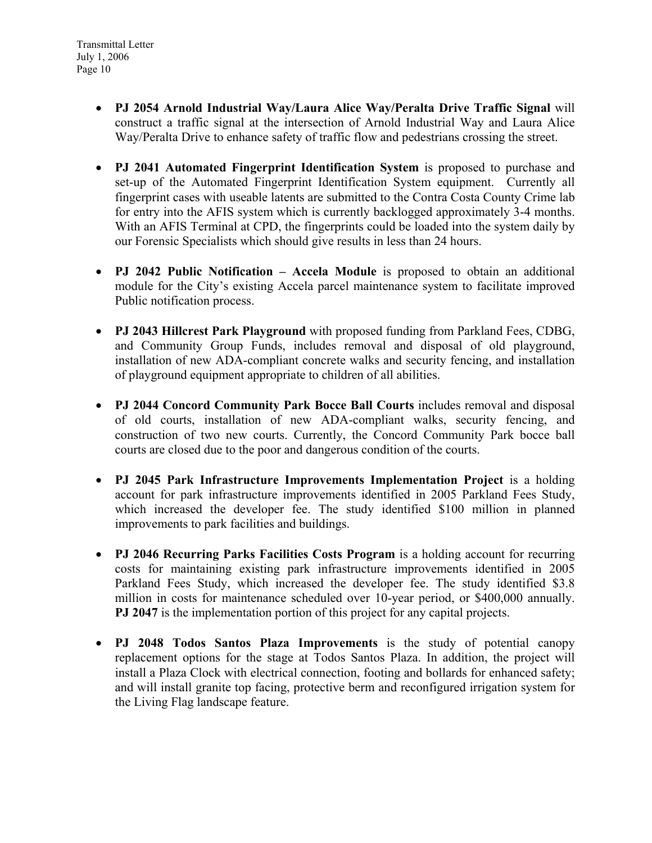- **PJ 2054 Arnold Industrial Way/Laura Alice Way/Peralta Drive Traffic Signal** will construct a traffic signal at the intersection of Arnold Industrial Way and Laura Alice Way/Peralta Drive to enhance safety of traffic flow and pedestrians crossing the street.
- **PJ 2041 Automated Fingerprint Identification System** is proposed to purchase and set-up of the Automated Fingerprint Identification System equipment. Currently all fingerprint cases with useable latents are submitted to the Contra Costa County Crime lab for entry into the AFIS system which is currently backlogged approximately 3-4 months. With an AFIS Terminal at CPD, the fingerprints could be loaded into the system daily by our Forensic Specialists which should give results in less than 24 hours.
- **PJ 2042 Public Notification Accela Module** is proposed to obtain an additional module for the City's existing Accela parcel maintenance system to facilitate improved Public notification process.
- **PJ 2043 Hillcrest Park Playground** with proposed funding from Parkland Fees, CDBG, and Community Group Funds, includes removal and disposal of old playground, installation of new ADA-compliant concrete walks and security fencing, and installation of playground equipment appropriate to children of all abilities.
- **PJ 2044 Concord Community Park Bocce Ball Courts** includes removal and disposal of old courts, installation of new ADA-compliant walks, security fencing, and construction of two new courts. Currently, the Concord Community Park bocce ball courts are closed due to the poor and dangerous condition of the courts.
- **PJ 2045 Park Infrastructure Improvements Implementation Project** is a holding account for park infrastructure improvements identified in 2005 Parkland Fees Study, which increased the developer fee. The study identified \$100 million in planned improvements to park facilities and buildings.
- **PJ 2046 Recurring Parks Facilities Costs Program** is a holding account for recurring costs for maintaining existing park infrastructure improvements identified in 2005 Parkland Fees Study, which increased the developer fee. The study identified \$3.8 million in costs for maintenance scheduled over 10-year period, or \$400,000 annually. **PJ 2047** is the implementation portion of this project for any capital projects.
- **PJ 2048 Todos Santos Plaza Improvements** is the study of potential canopy replacement options for the stage at Todos Santos Plaza. In addition, the project will install a Plaza Clock with electrical connection, footing and bollards for enhanced safety; and will install granite top facing, protective berm and reconfigured irrigation system for the Living Flag landscape feature.